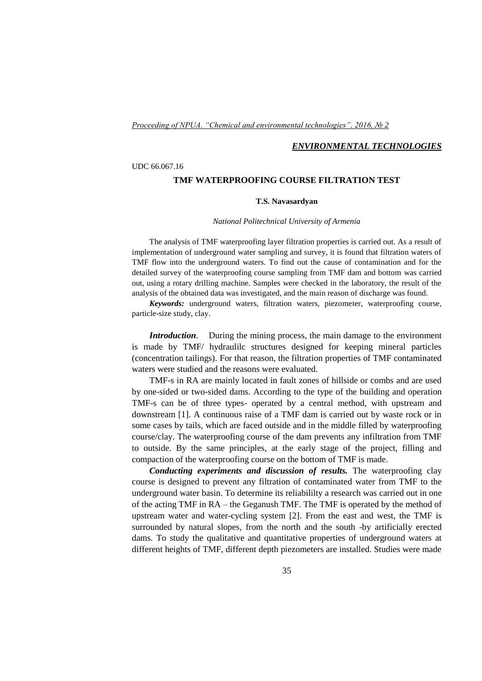## *Proceeding of NPUA. "Chemical and environmental technologies". 2016, № 2*

## *ENVIRONMENTAL TECHNOLOGIES*

## UDC 66.067.16

## **TMF WATERPROOFING COURSE FILTRATION TEST**

## **T.S. Navasardyan**

#### *National Politechnical University of Armenia*

The analysis of TMF waterproofing layer filtration properties is carried out. As a result of implementation of underground water sampling and survey, it is found that filtration waters of TMF flow into the underground waters. To find out the cause of contamination and for the detailed survey of the waterproofing course sampling from TMF dam and bottom was carried out, using a rotary drilling machine. Samples were checked in the laboratory, the result of the analysis of the obtained data was investigated, and the main reason of discharge was found.

*Keywords:* underground waters, filtration waters, piezometer, waterproofing course, particle-size study, clay.

*Introduction*. During the mining process, the main damage to the environment is made by TMF/ hydraulilc structures designed for keeping mineral particles (concentration tailings). For that reason, the filtration properties of TMF contaminated waters were studied and the reasons were evaluated.

TMF-s in RA are mainly located in fault zones of hillside or combs and are used by one-sided or two-sided dams. According to the type of the building and operation TMF-s can be of three types- operated by a central method, with upstream and downstream [1]. A continuous raise of a TMF dam is carried out by waste rock or in some cases by tails, which are faced outside and in the middle filled by waterproofing course/clay. The waterproofing course of the dam prevents any infiltration from TMF to outside. By the same principles, at the early stage of the project, filling and compaction of the waterproofing course on the bottom of TMF is made.

*Conducting experiments and discussion of results.* The waterproofing clay course is designed to prevent any filtration of contaminated water from TMF to the underground water basin. To determine its reliabililty a research was carried out in one of the acting TMF in RA – the Geganush TMF. The TMF is operated by the method of upstream water and water-cycling system [2]. From the east and west, the TMF is surrounded by natural slopes, from the north and the south -by artificially erected dams. To study the qualitative and quantitative properties of underground waters at different heights of TMF, different depth piezometers are installed. Studies were made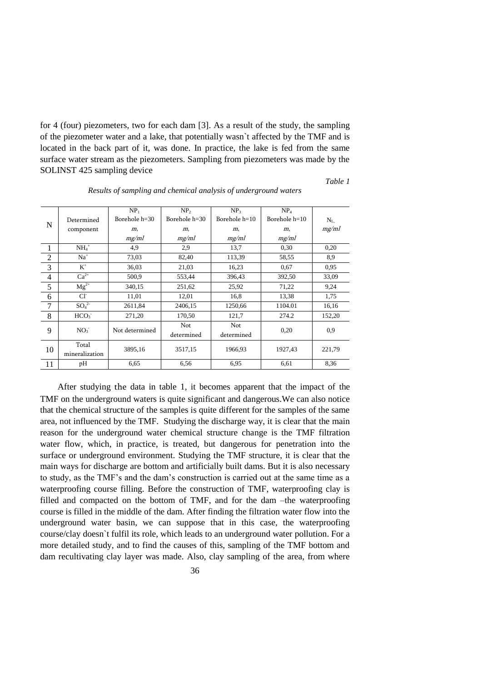for 4 (four) piezometers, two for each dam [3]. As a result of the study, the sampling of the piezometer water and a lake, that potentially wasn`t affected by the TMF and is located in the back part of it, was done. In practice, the lake is fed from the same surface water stream as the piezometers. Sampling from piezometers was made by the SOLINST 425 sampling device

#### *Table 1*

|                |                              | NP <sub>1</sub> | NP <sub>2</sub> | NP <sub>3</sub> | NP <sub>4</sub> |         |  |  |
|----------------|------------------------------|-----------------|-----------------|-----------------|-----------------|---------|--|--|
| N              | Determined                   | Borehole h=30   | Borehole h=30   | Borehole $h=10$ | Borehole $h=10$ | $N_{L}$ |  |  |
|                | component                    | m,              | m,              | m,              | m,              | mg/ml   |  |  |
|                |                              | mg/ml           | mg/ml           | mg/ml           | mg/ml           |         |  |  |
| $\mathbf{1}$   | $NH4+$                       | 4,9             | 2.9             | 13,7            | 0.30            | 0.20    |  |  |
| $\overline{2}$ | $Na+$                        | 73,03           | 82,40           | 113,39          | 58,55           | 8,9     |  |  |
| 3              | $K^+$                        | 36,03           | 21,03           | 16,23           | 0.67            | 0.95    |  |  |
| 4              | $Ca2+$                       | 500,9           | 553,44          | 396,43          | 392,50          | 33,09   |  |  |
| 5              | $Mg^{2+}$                    | 340,15          | 251,62          | 25,92           | 71,22           | 9.24    |  |  |
| 6              | CI <sub>1</sub>              | 11,01           | 12,01           | 16,8            | 13,38           | 1,75    |  |  |
| $\overline{7}$ | SO <sub>4</sub> <sup>2</sup> | 2611,84         | 2406,15         | 1250,66         | 1104.01         | 16,16   |  |  |
| 8              | HCO <sub>3</sub>             | 271,20          | 170,50          | 121,7           | 274.2           | 152,20  |  |  |
| 9              | NO <sub>3</sub>              | Not determined  | Not             | Not             | 0,20            | 0.9     |  |  |
|                |                              |                 | determined      | determined      |                 |         |  |  |
| 10             | Total                        | 3895,16         | 3517,15         | 1966,93         | 1927,43         | 221,79  |  |  |
|                | mineralization               |                 |                 |                 |                 |         |  |  |
| 11             | pН                           | 6.65            | 6,56            | 6.95            | 6,61            | 8.36    |  |  |
|                |                              |                 |                 |                 |                 |         |  |  |

*Results of sampling and chemical analysis of underground waters*

After studying the data in table 1, it becomes apparent that the impact of the TMF on the underground waters is quite significant and dangerous.We can also notice that the chemical structure of the samples is quite different for the samples of the same area, not influenced by the TMF. Studying the discharge way, it is clear that the main reason for the underground water chemical structure change is the TMF filtration water flow, which, in practice, is treated, but dangerous for penetration into the surface or underground environment. Studying the TMF structure, it is clear that the main ways for discharge are bottom and artificially built dams. But it is also necessary to study, as the TMF's and the dam's construction is carried out at the same time as a waterproofing course filling. Before the construction of TMF, waterproofing clay is filled and compacted on the bottom of TMF, and for the dam –the waterproofing course is filled in the middle of the dam. After finding the filtration water flow into the underground water basin, we can suppose that in this case, the waterproofing course/clay doesn`t fulfil its role, which leads to an underground water pollution. For a more detailed study, and to find the causes of this, sampling of the TMF bottom and dam recultivating clay layer was made. Also, clay sampling of the area, from where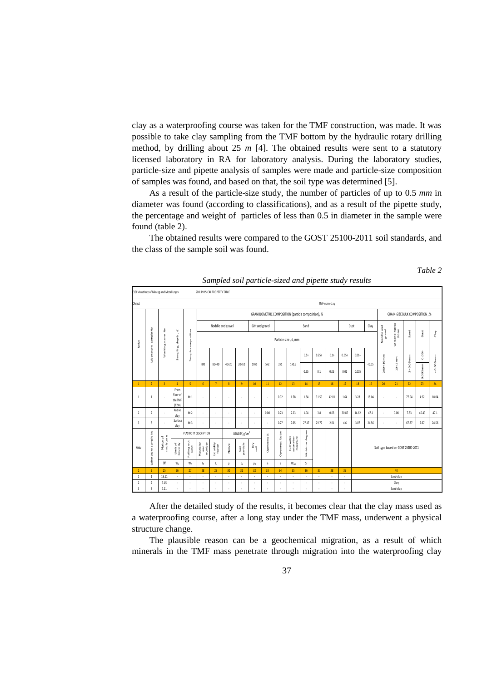clay as a waterproofing course was taken for the TMF construction, was made. It was possible to take clay sampling from the TMF bottom by the hydraulic rotary drilling method, by drilling about 25 *m* [4]. The obtained results were sent to a statutory licensed laboratory in RA for laboratory analysis. During the laboratory studies, particle-size and pipette analysis of samples were made and particle-size composition of samples was found, and based on that, the soil type was determined [5].

As a result of the particle-size study, the number of particles of up to 0.5 *mm* in diameter was found (according to classifications), and as a result of the pipette study, the percentage and weight of particles of less than 0.5 in diameter in the sample were found (table 2).

The obtained results were compared to the GOST 25100-2011 soil standards, and the class of the sample soil was found.

| sampica son parnene sixea ana pipene sina j'i esinis                      |                         |                     |                                                                                                                                                                                                                                                                                                                                                                                              |                      |                             |                                                                                                  |                          |                            |             |                                         |                                                           |                                      |                 |          |         |          |           |                                    |          |          |          |          |         |  |
|---------------------------------------------------------------------------|-------------------------|---------------------|----------------------------------------------------------------------------------------------------------------------------------------------------------------------------------------------------------------------------------------------------------------------------------------------------------------------------------------------------------------------------------------------|----------------------|-----------------------------|--------------------------------------------------------------------------------------------------|--------------------------|----------------------------|-------------|-----------------------------------------|-----------------------------------------------------------|--------------------------------------|-----------------|----------|---------|----------|-----------|------------------------------------|----------|----------|----------|----------|---------|--|
| CJSC «Institute of Mining and Metallurgy»<br>SOIL PHYSICAL PROPERTY TABLE |                         |                     |                                                                                                                                                                                                                                                                                                                                                                                              |                      |                             |                                                                                                  |                          |                            |             |                                         |                                                           |                                      |                 |          |         |          |           |                                    |          |          |          |          |         |  |
| Object<br>TMF main clay                                                   |                         |                     |                                                                                                                                                                                                                                                                                                                                                                                              |                      |                             |                                                                                                  |                          |                            |             |                                         |                                                           |                                      |                 |          |         |          |           |                                    |          |          |          |          |         |  |
| NgNg                                                                      |                         | å<br>Working name   | Sampling, depth, if                                                                                                                                                                                                                                                                                                                                                                          | Sample composition   |                             | GRANULOMETRIC COMPOSITION (particle composition), %<br><b>GRAIN-SIZE BULK COMPOSITION, %</b>     |                          |                            |             |                                         |                                                           |                                      |                 |          |         |          |           |                                    |          |          |          |          |         |  |
|                                                                           |                         |                     |                                                                                                                                                                                                                                                                                                                                                                                              |                      | Noddle and gravel           |                                                                                                  |                          |                            |             | Sand<br>Clay<br>Grit and gravel<br>Dust |                                                           |                                      |                 |          |         |          |           |                                    |          |          |          |          |         |  |
|                                                                           | sample Nº<br>Laboratory |                     |                                                                                                                                                                                                                                                                                                                                                                                              |                      |                             | Grit and riprap<br>stone<br>Noddle and<br>gravel<br>Sand<br>Dust<br>Clay<br>Particle size, d, mm |                          |                            |             |                                         |                                                           |                                      |                 |          |         |          |           |                                    |          |          |          |          |         |  |
|                                                                           |                         |                     |                                                                                                                                                                                                                                                                                                                                                                                              |                      |                             |                                                                                                  | 40÷20                    |                            |             | 5:2                                     | 2:1                                                       | 1:0.5                                | $0.5\div$       | $0.25 +$ | $0.1 +$ | $0.05 +$ | $0.01 -$  |                                    |          |          |          | $0.05 +$ |         |  |
|                                                                           |                         |                     |                                                                                                                                                                                                                                                                                                                                                                                              |                      | >80                         | 80:40                                                                                            |                          | 20:10                      | 10:5        |                                         |                                                           |                                      | 0.25            | 0.1      | 0.05    | 0.01     | 0.005     | < 0.05                             | 200+10mm | $10+2mm$ | 2+0.05mm | 0.005mm  | 0.005mm |  |
| $\mathbf{1}$                                                              | $\overline{2}$          | $\overline{3}$      | $\overline{4}$                                                                                                                                                                                                                                                                                                                                                                               | -5                   | 6 <sup>1</sup>              | $\overline{7}$                                                                                   | 8                        | 9                          | 10          | 11                                      | 12                                                        | 13                                   | 14              | 15       | 16      | 17       | 18        | 19                                 | 20       | 21       | 22       | 23       | 24      |  |
| $\mathbf{1}$                                                              | 1                       | ×,                  | From<br>floor of<br>the TMF<br>(12m)                                                                                                                                                                                                                                                                                                                                                         | No 1                 | ×,                          | à.                                                                                               | ٠                        | ×,                         | ٠           | ×,                                      | 0.02                                                      | 1.58                                 | 1.84            | 31.59    | 42.01   | 1.64     | 3.28      | 18.04                              | ×,       | ×,       | 77.04    | 4.92     | 18.04   |  |
| $\overline{2}$                                                            | $\overline{2}$          | ÷                   | Native<br>clay                                                                                                                                                                                                                                                                                                                                                                               | No <sub>2</sub>      | ÷                           | ٠                                                                                                | ×,                       | ٠                          | ×           | 0.08                                    | 0.23                                                      | 2.23                                 | 1.04            | 3.8      | 0.03    | 30.87    | 14.62     | 47.1                               |          | 0.08     | 7.33     | 45.49    | 47.1    |  |
| 3                                                                         | $\overline{\mathbf{3}}$ | ä,                  | Surface<br>clay                                                                                                                                                                                                                                                                                                                                                                              | No <sub>3</sub>      | ł,                          | à.                                                                                               | ×,                       | ä,                         | ×,          | ×,                                      | 0.27                                                      | 7.65                                 | 27.17           | 29.77    | 2.91    | 4.6      | 3.07      | 24.56                              | ×,       | ä,       | 67.77    | 7.67     | 24.56   |  |
| NoNo                                                                      | Laboratory sample Nº    | moisture<br>Natural |                                                                                                                                                                                                                                                                                                                                                                                              |                      | PLASTICITY DESCRIPTION      |                                                                                                  |                          | DENSITY, g/sm <sup>3</sup> |             |                                         |                                                           |                                      |                 |          |         |          |           |                                    |          |          |          |          |         |  |
|                                                                           |                         |                     | $\frac{L}{L} \frac{1}{L} \frac{1}{L} \frac{1}{L} \frac{1}{L} \frac{1}{L} \frac{1}{L} \frac{1}{L} \frac{1}{L} \frac{1}{L} \frac{1}{L} \frac{1}{L} \frac{1}{L} \frac{1}{L} \frac{1}{L} \frac{1}{L} \frac{1}{L} \frac{1}{L} \frac{1}{L} \frac{1}{L} \frac{1}{L} \frac{1}{L} \frac{1}{L} \frac{1}{L} \frac{1}{L} \frac{1}{L} \frac{1}{L} \frac{1}{L} \frac{1}{L} \frac{1}{L} \frac{1}{L} \frac{$ | Rolling out<br>limit | Plasticity<br>and<br>number | $\begin{array}{c} \text{Equating}\\ \text{factor} \end{array}$                                   | Native                   | Soil<br>particle           | Dry<br>Soll | Openness %                              | Openness factor                                           | Full water<br>saturation<br>moisture | Moisture degree |          |         |          |           | Soil type based on GOST 25100-2011 |          |          |          |          |         |  |
|                                                                           |                         | W                   | W <sub>L</sub>                                                                                                                                                                                                                                                                                                                                                                               | Wp                   | Ip                          | I,                                                                                               | $\rho$                   | $\rho_{\rm s}$             | $\rho_d$    | n                                       | $\mathsf{e}% _{0}\left( t\right) \in\mathsf{e}_{\alpha }$ | $\mathsf{S}_t$<br>$W_{\text{sat}}$   |                 |          |         |          |           |                                    |          |          |          |          |         |  |
| $\mathbf{1}$                                                              | $\overline{2}$          | 25                  | 26                                                                                                                                                                                                                                                                                                                                                                                           | 27                   | 28                          | 29                                                                                               | 30 <sup>2</sup>          | 31                         | 32          | 33                                      | 34                                                        | 35                                   | 36              | 37       | 38      | 39       | 40        |                                    |          |          |          |          |         |  |
| $\mathbf{1}$                                                              | $\mathbf{1}$            | 18.11               | ÷.                                                                                                                                                                                                                                                                                                                                                                                           | $\epsilon$           | ÷.                          | ä,                                                                                               | $\overline{\phantom{a}}$ | $\epsilon$                 | ÷.          | ł,                                      | ×,                                                        | ł,                                   | ÷,              | ä,       | ÷,      | ä,       | Sand-clay |                                    |          |          |          |          |         |  |
| $\overline{2}$                                                            | $\sqrt{2}$              | 9.15                | ٠                                                                                                                                                                                                                                                                                                                                                                                            | ä,                   |                             |                                                                                                  | ×,                       | ä,                         | ×,          | ł,                                      |                                                           | ×,                                   |                 |          | ä,      | ä,       | Clay      |                                    |          |          |          |          |         |  |
| $\overline{\mathbf{3}}$                                                   | $\overline{\mathbf{3}}$ | 7.21                |                                                                                                                                                                                                                                                                                                                                                                                              |                      |                             |                                                                                                  |                          |                            |             | ł,                                      |                                                           |                                      |                 |          |         | ł,       | Sand-clay |                                    |          |          |          |          |         |  |
|                                                                           |                         |                     |                                                                                                                                                                                                                                                                                                                                                                                              |                      |                             |                                                                                                  |                          |                            |             |                                         |                                                           |                                      |                 |          |         |          |           |                                    |          |          |          |          |         |  |

*Sampled soil particle-sized and pipette study results* 

*Table 2*

After the detailed study of the results, it becomes clear that the clay mass used as a waterproofing course, after a long stay under the TMF mass, underwent a physical structure change.

The plausible reason can be a geochemical migration, as a result of which minerals in the TMF mass penetrate through migration into the waterproofing clay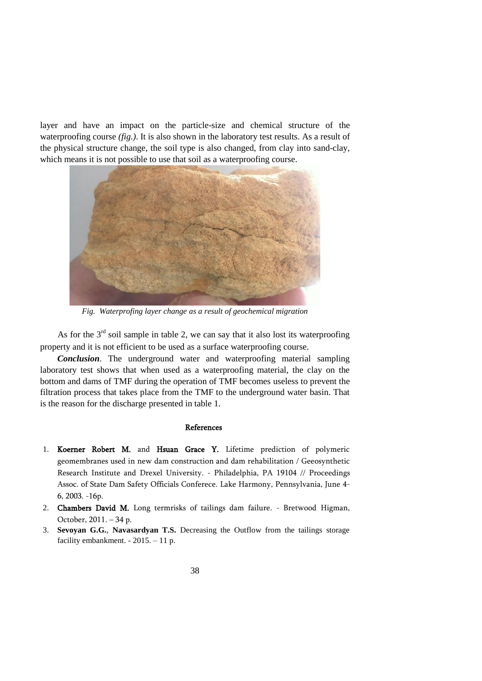layer and have an impact on the particle-size and chemical structure of the waterproofing course *(fig.)*. It is also shown in the laboratory test results. As a result of the physical structure change, the soil type is also changed, from clay into sand-clay, which means it is not possible to use that soil as a waterproofing course.



*Fig. Waterprofing layer change as a result of geochemical migration*

As for the  $3<sup>rd</sup>$  soil sample in table 2, we can say that it also lost its waterproofing property and it is not efficient to be used as a surface waterproofing course.

*Conclusion*. The underground water and waterproofing material sampling laboratory test shows that when used as a waterproofing material, the clay on the bottom and dams of TMF during the operation of TMF becomes useless to prevent the filtration process that takes place from the TMF to the underground water basin. That is the reason for the discharge presented in table 1.

## References

- 1. Koerner Robert M. and Hsuan Grace Y. Lifetime prediction of polymeric geomembranes used in new dam construction and dam rehabilitation / Geeosynthetic Research Institute and Drexel University. - Philadelphia, PA 19104 // Proceedings Assoc. of State Dam Safety Officials Conferece. Lake Harmony, Pennsylvania, June 4- 6, 2003. -16p.
- 2. Chambers David M. Long termrisks of tailings dam failure. Bretwood Higman, October, 2011. – 34 p.
- 3. **Sevoyan G.G.**, **Navasardyan T.S.** Decreasing the Outflow from the tailings storage facility embankment. - 2015. – 11 p.